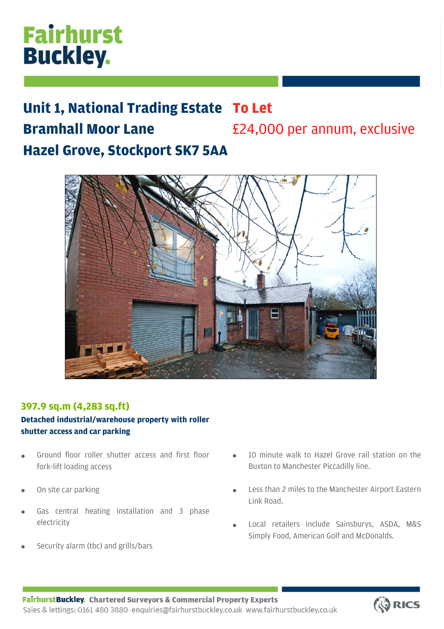# **Fairhurst Buckley.**

# **Unit 1, National Trading Estate To Let Bramhall Moor Lane Hazel Grove, Stockport SK7 5AA** £24,000 per annum, exclusive



# **397.9 sq.m (4,283 sq.ft)**

## **Detached industrial/warehouse property with roller shutter access and car parking**

- Ground floor roller shutter access and first floor fork-lift loading access
- On site car parking
- Gas central heating installation and 3 phase electricity
- Security alarm (tbc) and grills/bars
- 10 minute walk to Hazel Grove rail station on the Buxton to Manchester Piccadilly line.
- Less than 2 miles to the Manchester Airport Eastern Link Road.
- Local retailers include Sainsburys, ASDA, M&S Simply Food, American Golf and McDonalds.

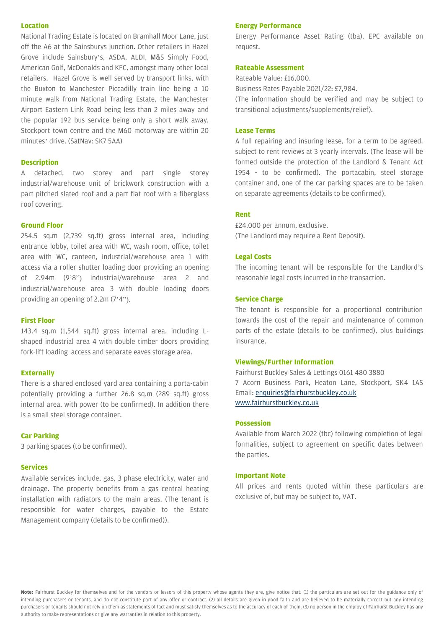#### **Location**

National Trading Estate is located on Bramhall Moor Lane, just off the A6 at the Sainsburys junction. Other retailers in Hazel Grove include Sainsbury's, ASDA, ALDI, M&S Simply Food, American Golf, McDonalds and KFC, amongst many other local retailers. Hazel Grove is well served by transport links, with the Buxton to Manchester Piccadilly train line being a 10 minute walk from National Trading Estate, the Manchester Airport Eastern Link Road being less than 2 miles away and the popular 192 bus service being only a short walk away. Stockport town centre and the M60 motorway are within 20 minutes' drive. (SatNav: SK7 5AA)

### **Description**

A detached, two storey and part single storey industrial/warehouse unit of brickwork construction with a part pitched slated roof and a part flat roof with a fiberglass roof covering.

#### **Ground Floor**

254.5 sq.m (2,739 sq.ft) gross internal area, including entrance lobby, toilet area with WC, wash room, office, toilet area with WC, canteen, industrial/warehouse area 1 with access via a roller shutter loading door providing an opening of 2.94m (9'8") industrial/warehouse area 2 and industrial/warehouse area 3 with double loading doors providing an opening of 2.2m (7'4").

#### **First Floor**

143.4 sq.m (1,544 sq.ft) gross internal area, including Lshaped industrial area 4 with double timber doors providing fork-lift loading access and separate eaves storage area.

#### **Externally**

There is a shared enclosed yard area containing a porta-cabin potentially providing a further 26.8 sq.m (289 sq.ft) gross internal area, with power (to be confirmed). In addition there is a small steel storage container.

#### **Car Parking**

3 parking spaces (to be confirmed).

#### **Services**

Available services include, gas, 3 phase electricity, water and drainage. The property benefits from a gas central heating installation with radiators to the main areas. (The tenant is responsible for water charges, payable to the Estate Management company (details to be confirmed)).

#### **Energy Performance**

Energy Performance Asset Rating (tba). EPC available on request.

#### **Rateable Assessment**

Rateable Value: £16,000.

Business Rates Payable 2021/22: £7,984.

(The information should be verified and may be subject to transitional adjustments/supplements/relief).

#### **Lease Terms**

A full repairing and insuring lease, for a term to be agreed, subject to rent reviews at 3 yearly intervals. (The lease will be formed outside the protection of the Landlord & Tenant Act 1954 - to be confirmed). The portacabin, steel storage container and, one of the car parking spaces are to be taken on separate agreements (details to be confirmed).

#### **Rent**

£24,000 per annum, exclusive. (The Landlord may require a Rent Deposit).

#### **Legal Costs**

The incoming tenant will be responsible for the Landlord's reasonable legal costs incurred in the transaction.

#### **Service Charge**

The tenant is responsible for a proportional contribution towards the cost of the repair and maintenance of common parts of the estate (details to be confirmed), plus buildings insurance.

#### **Viewings/Further Information**

Fairhurst Buckley Sales & Lettings 0161 480 3880 7 Acorn Business Park, Heaton Lane, Stockport, SK4 1AS Email[: enquiries@fairhurstbuckley.co.uk](mailto:enquiries@fairhurstbuckley.co.uk) [www.fairhurstbuckley.co.uk](http://www.fairhurstbuckley.co.uk/)

#### **Possession**

Available from March 2022 (tbc) following completion of legal formalities, subject to agreement on specific dates between the parties.

#### **Important Note**

All prices and rents quoted within these particulars are exclusive of, but may be subject to, VAT.

**Note:** Fairhurst Buckley for themselves and for the vendors or lessors of this property whose agents they are, give notice that: (1) the particulars are set out for the guidance only of intending purchasers or tenants, and do not constitute part of any offer or contract. (2) all details are given in good faith and are believed to be materially correct but any intending purchasers or tenants should not rely on them as statements of fact and must satisfy themselves as to the accuracy of each of them. (3) no person in the employ of Fairhurst Buckley has any authority to make representations or give any warranties in relation to this property.